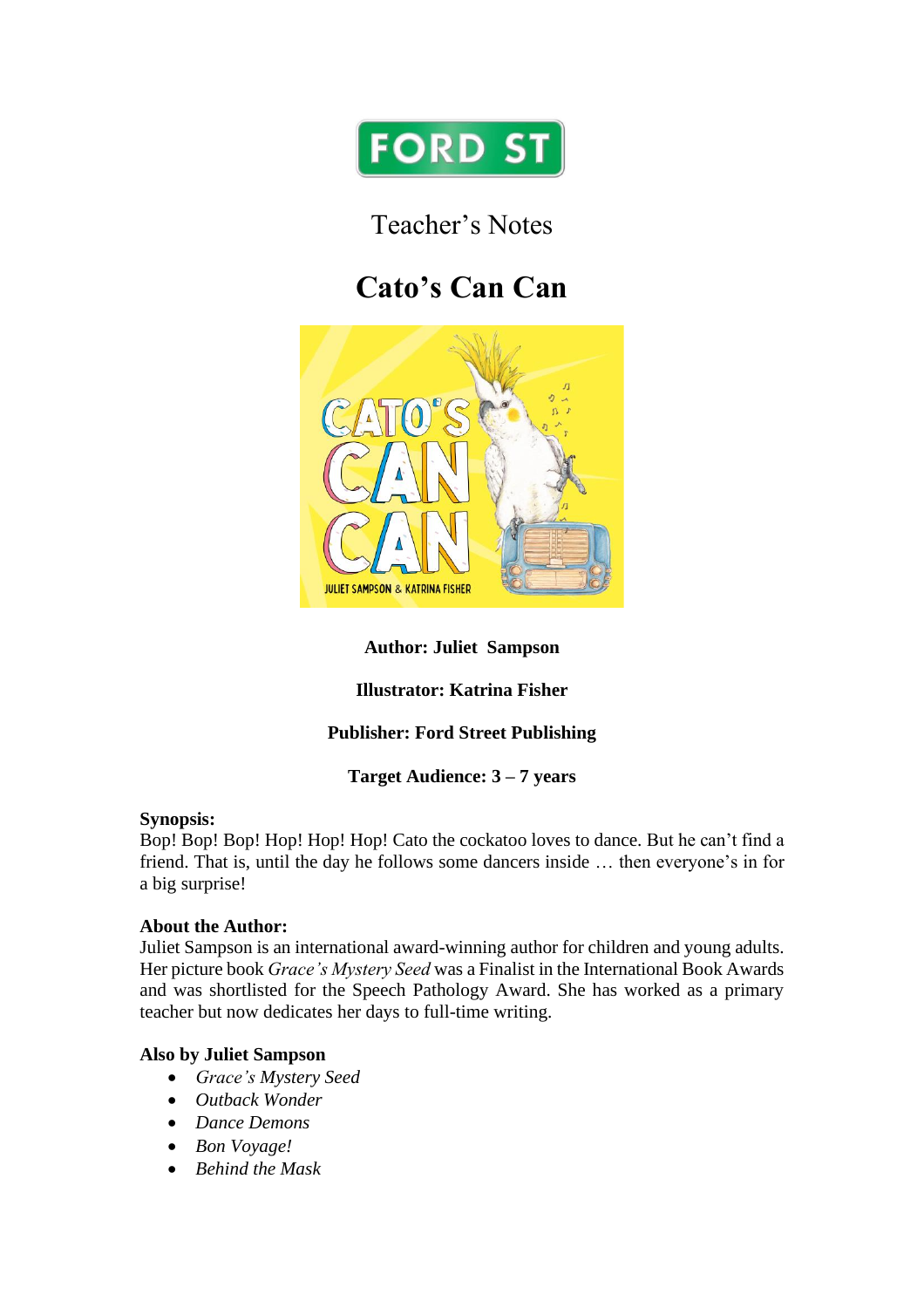

Teacher's Notes

# **Cato's Can Can**



# **Author: Juliet Sampson**

# **Illustrator: Katrina Fisher**

# **Publisher: Ford Street Publishing**

## **Target Audience: 3 – 7 years**

#### **Synopsis:**

Bop! Bop! Bop! Hop! Hop! Hop! Cato the cockatoo loves to dance. But he can't find a friend. That is, until the day he follows some dancers inside … then everyone's in for a big surprise!

#### **About the Author:**

Juliet Sampson is an international award-winning author for children and young adults. Her picture book *Grace's Mystery Seed* was a Finalist in the International Book Awards and was shortlisted for the Speech Pathology Award. She has worked as a primary teacher but now dedicates her days to full-time writing.

## **Also by Juliet Sampson**

- *Grace's Mystery Seed*
- *Outback Wonder*
- *Dance Demons*
- *Bon Voyage!*
- *Behind the Mask*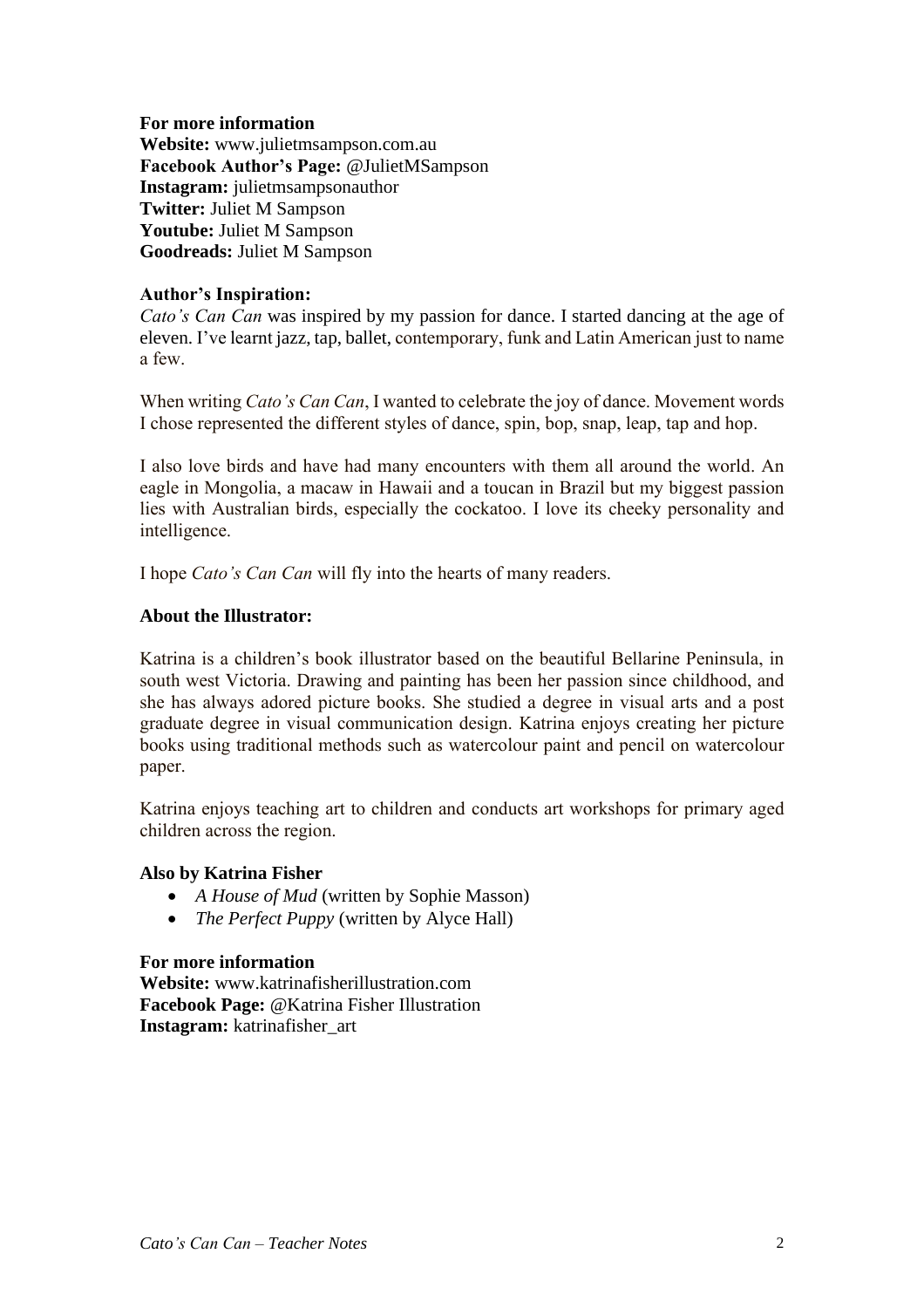#### **For more information**

**Website:** www.julietmsampson.com.au **Facebook Author's Page:** @JulietMSampson **Instagram:** julietmsampsonauthor **Twitter:** Juliet M Sampson **Youtube:** Juliet M Sampson **Goodreads:** Juliet M Sampson

#### **Author's Inspiration:**

*Cato's Can Can* was inspired by my passion for dance. I started dancing at the age of eleven. I've learnt jazz, tap, ballet, contemporary, funk and Latin American just to name a few.

When writing *Cato's Can Can*, I wanted to celebrate the joy of dance. Movement words I chose represented the different styles of dance, spin, bop, snap, leap, tap and hop.

I also love birds and have had many encounters with them all around the world. An eagle in Mongolia, a macaw in Hawaii and a toucan in Brazil but my biggest passion lies with Australian birds, especially the cockatoo. I love its cheeky personality and intelligence.

I hope *Cato's Can Can* will fly into the hearts of many readers.

#### **About the Illustrator:**

Katrina is a children's book illustrator based on the beautiful Bellarine Peninsula, in south west Victoria. Drawing and painting has been her passion since childhood, and she has always adored picture books. She studied a degree in visual arts and a post graduate degree in visual communication design. Katrina enjoys creating her picture books using traditional methods such as watercolour paint and pencil on watercolour paper.

Katrina enjoys teaching art to children and conducts art workshops for primary aged children across the region.

#### **Also by Katrina Fisher**

- *A House of Mud* (written by Sophie Masson)
- *The Perfect Puppy* (written by Alyce Hall)

#### **For more information**

**Website:** www.katrinafisherillustration.com **Facebook Page:** @Katrina Fisher Illustration **Instagram:** katrinafisher\_art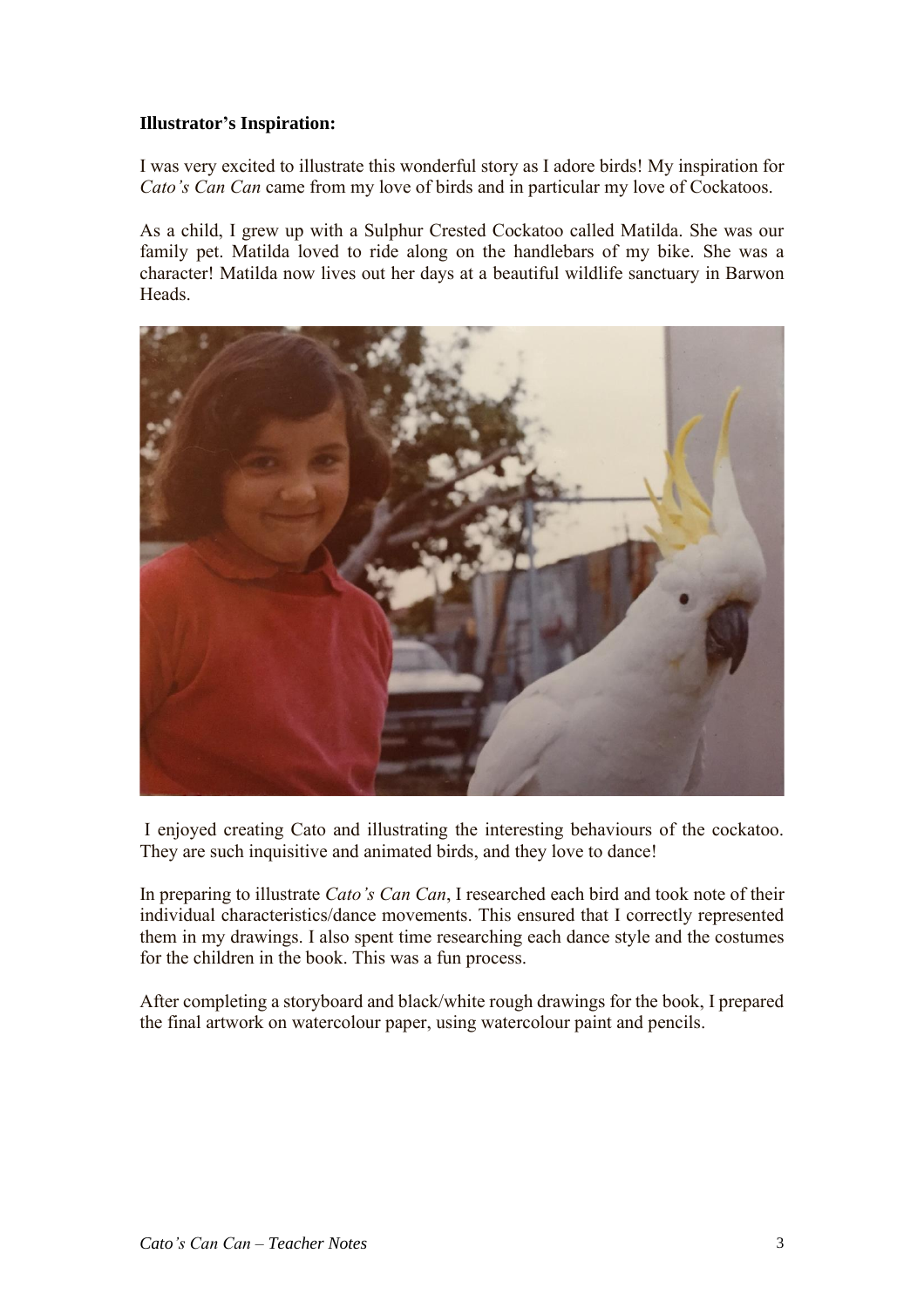## **Illustrator's Inspiration:**

I was very excited to illustrate this wonderful story as I adore birds! My inspiration for *Cato's Can Can* came from my love of birds and in particular my love of Cockatoos.

As a child, I grew up with a Sulphur Crested Cockatoo called Matilda. She was our family pet. Matilda loved to ride along on the handlebars of my bike. She was a character! Matilda now lives out her days at a beautiful wildlife sanctuary in Barwon Heads.



I enjoyed creating Cato and illustrating the interesting behaviours of the cockatoo. They are such inquisitive and animated birds, and they love to dance!

In preparing to illustrate *Cato's Can Can*, I researched each bird and took note of their individual characteristics/dance movements. This ensured that I correctly represented them in my drawings. I also spent time researching each dance style and the costumes for the children in the book. This was a fun process.

After completing a storyboard and black/white rough drawings for the book, I prepared the final artwork on watercolour paper, using watercolour paint and pencils.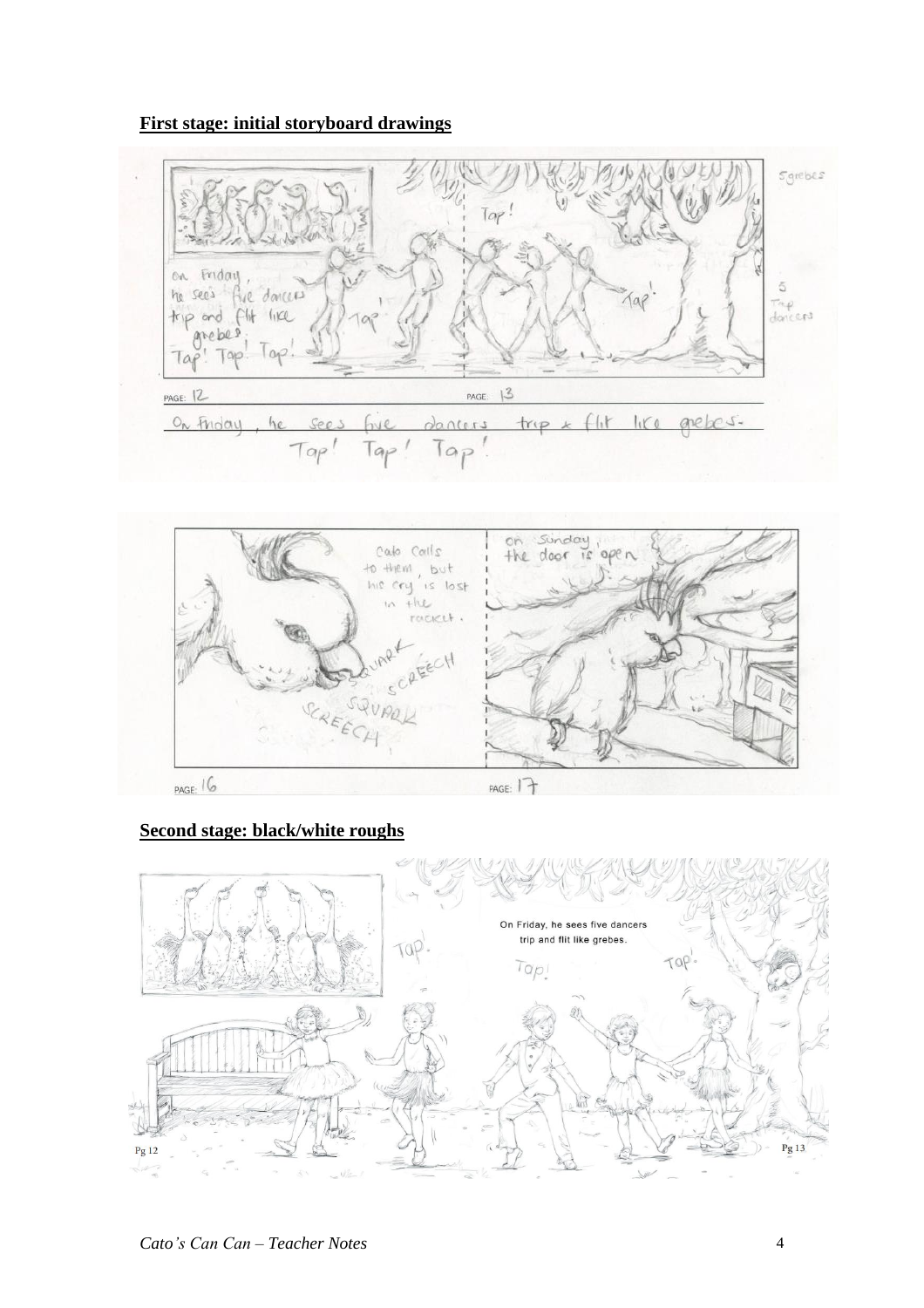#### **First stage: initial storyboard drawings**





#### **Second stage: black/white roughs**

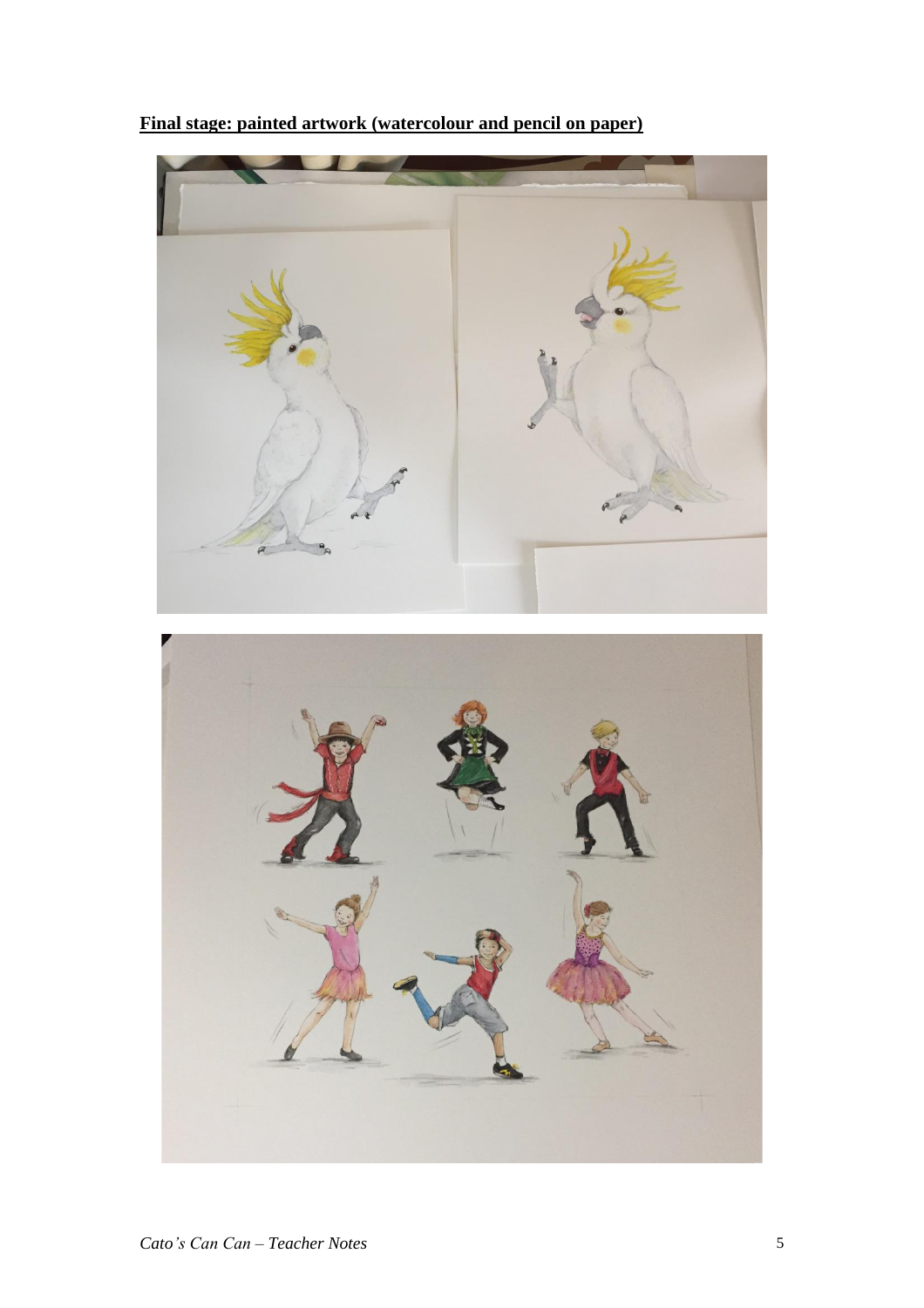**Final stage: painted artwork (watercolour and pencil on paper)**

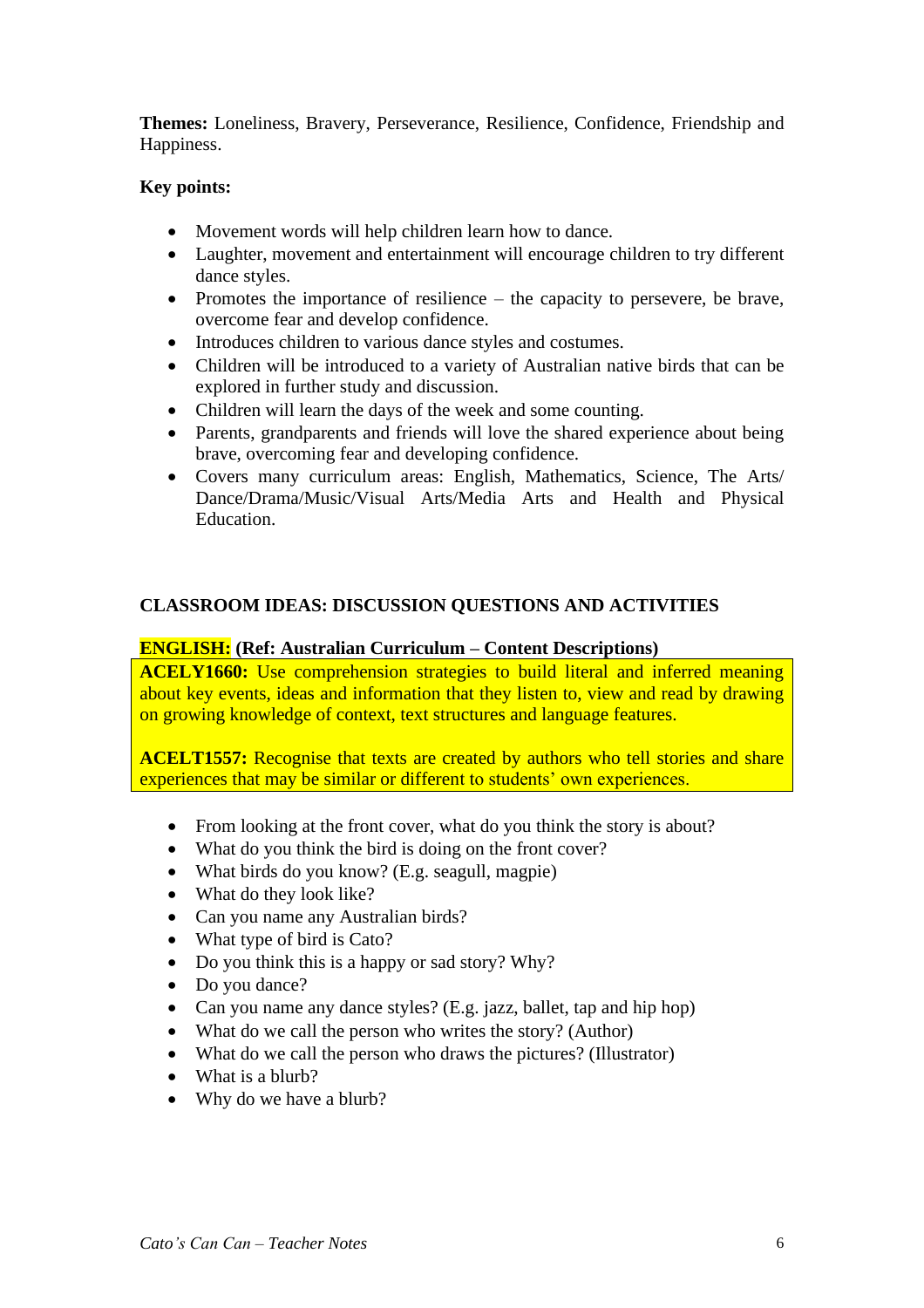**Themes:** Loneliness, Bravery, Perseverance, Resilience, Confidence, Friendship and Happiness.

### **Key points:**

- Movement words will help children learn how to dance.
- Laughter, movement and entertainment will encourage children to try different dance styles.
- Promotes the importance of resilience the capacity to persevere, be brave, overcome fear and develop confidence.
- Introduces children to various dance styles and costumes.
- Children will be introduced to a variety of Australian native birds that can be explored in further study and discussion.
- Children will learn the days of the week and some counting.
- Parents, grandparents and friends will love the shared experience about being brave, overcoming fear and developing confidence.
- Covers many curriculum areas: English, Mathematics, Science, The Arts/ Dance/Drama/Music/Visual Arts/Media Arts and Health and Physical Education.

#### **CLASSROOM IDEAS: DISCUSSION QUESTIONS AND ACTIVITIES**

#### **ENGLISH: (Ref: Australian Curriculum – Content Descriptions)**

**ACELY1660:** Use comprehension strategies to build literal and inferred meaning about key events, ideas and information that they listen to, view and read by drawing on growing knowledge of context, text structures and language features.

**ACELT1557:** Recognise that texts are created by authors who tell stories and share experiences that may be similar or different to students' own experiences.

- From looking at the front cover, what do you think the story is about?
- What do you think the bird is doing on the front cover?
- What birds do you know? (E.g. seagull, magpie)
- What do they look like?
- Can you name any Australian birds?
- What type of bird is Cato?
- Do you think this is a happy or sad story? Why?
- Do you dance?
- Can you name any dance styles? (E.g. jazz, ballet, tap and hip hop)
- What do we call the person who writes the story? (Author)
- What do we call the person who draws the pictures? (Illustrator)
- What is a blurb?
- Why do we have a blurb?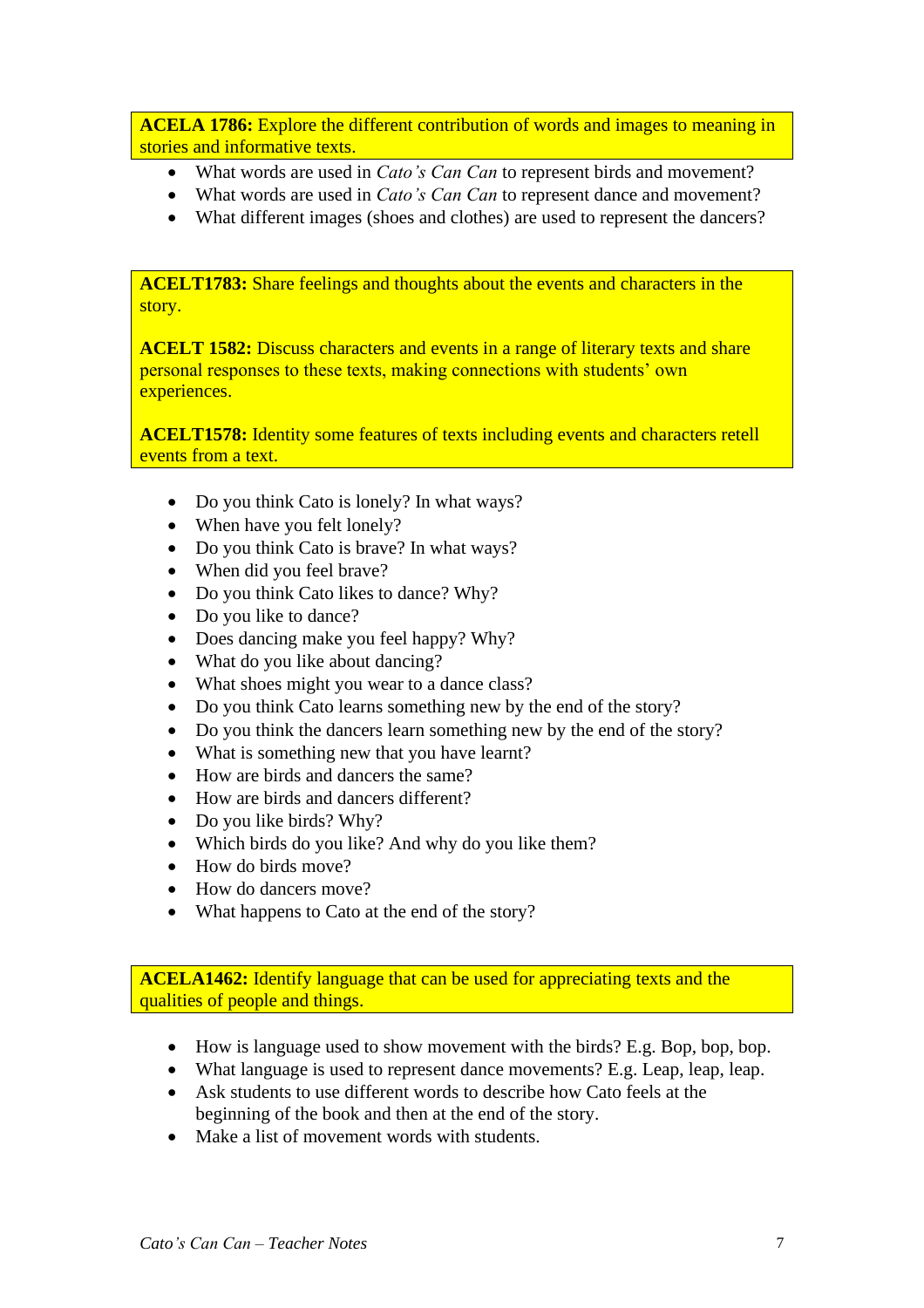**ACELA 1786:** Explore the different contribution of words and images to meaning in stories and informative texts.

- What words are used in *Cato's Can Can* to represent birds and movement?
- What words are used in *Cato's Can Can* to represent dance and movement?
- What different images (shoes and clothes) are used to represent the dancers?

**ACELT1783:** Share feelings and thoughts about the events and characters in the story.

**ACELT 1582:** Discuss characters and events in a range of literary texts and share personal responses to these texts, making connections with students' own experiences.

**ACELT1578:** Identity some features of texts including events and characters retell events from a text.

- Do you think Cato is lonely? In what ways?
- When have you felt lonely?
- Do you think Cato is brave? In what ways?
- When did you feel brave?
- Do you think Cato likes to dance? Why?
- Do you like to dance?
- Does dancing make you feel happy? Why?
- What do you like about dancing?
- What shoes might you wear to a dance class?
- Do you think Cato learns something new by the end of the story?
- Do you think the dancers learn something new by the end of the story?
- What is something new that you have learnt?
- How are birds and dancers the same?
- How are birds and dancers different?
- Do you like birds? Why?
- Which birds do you like? And why do you like them?
- How do birds move?
- How do dancers move?
- What happens to Cato at the end of the story?

**ACELA1462:** Identify language that can be used for appreciating texts and the qualities of people and things.

- How is language used to show movement with the birds? E.g. Bop, bop, bop.
- What language is used to represent dance movements? E.g. Leap, leap, leap.
- Ask students to use different words to describe how Cato feels at the beginning of the book and then at the end of the story.
- Make a list of movement words with students.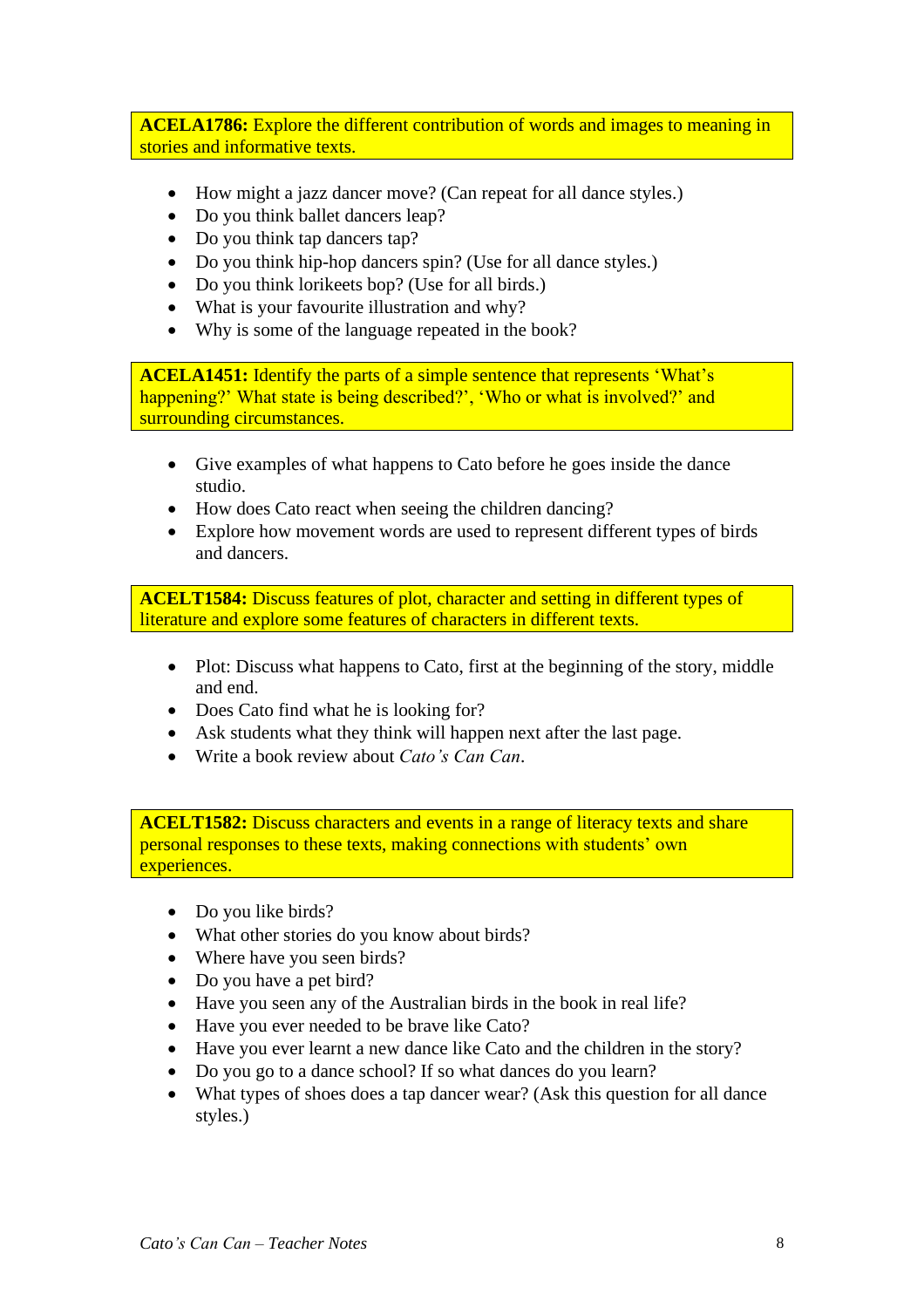**ACELA1786:** Explore the different contribution of words and images to meaning in stories and informative texts.

- How might a jazz dancer move? (Can repeat for all dance styles.)
- Do you think ballet dancers leap?
- Do you think tap dancers tap?
- Do you think hip-hop dancers spin? (Use for all dance styles.)
- Do you think lorikeets bop? (Use for all birds.)
- What is your favourite illustration and why?
- Why is some of the language repeated in the book?

**ACELA1451:** Identify the parts of a simple sentence that represents 'What's happening?' What state is being described?', 'Who or what is involved?' and surrounding circumstances.

- Give examples of what happens to Cato before he goes inside the dance studio.
- How does Cato react when seeing the children dancing?
- Explore how movement words are used to represent different types of birds and dancers.

**ACELT1584:** Discuss features of plot, character and setting in different types of literature and explore some features of characters in different texts.

- Plot: Discuss what happens to Cato, first at the beginning of the story, middle and end.
- Does Cato find what he is looking for?
- Ask students what they think will happen next after the last page.
- Write a book review about *Cato's Can Can*.

**ACELT1582:** Discuss characters and events in a range of literacy texts and share personal responses to these texts, making connections with students' own experiences.

- Do you like birds?
- What other stories do you know about birds?
- Where have you seen birds?
- Do you have a pet bird?
- Have you seen any of the Australian birds in the book in real life?
- Have you ever needed to be brave like Cato?
- Have you ever learnt a new dance like Cato and the children in the story?
- Do you go to a dance school? If so what dances do you learn?
- What types of shoes does a tap dancer wear? (Ask this question for all dance styles.)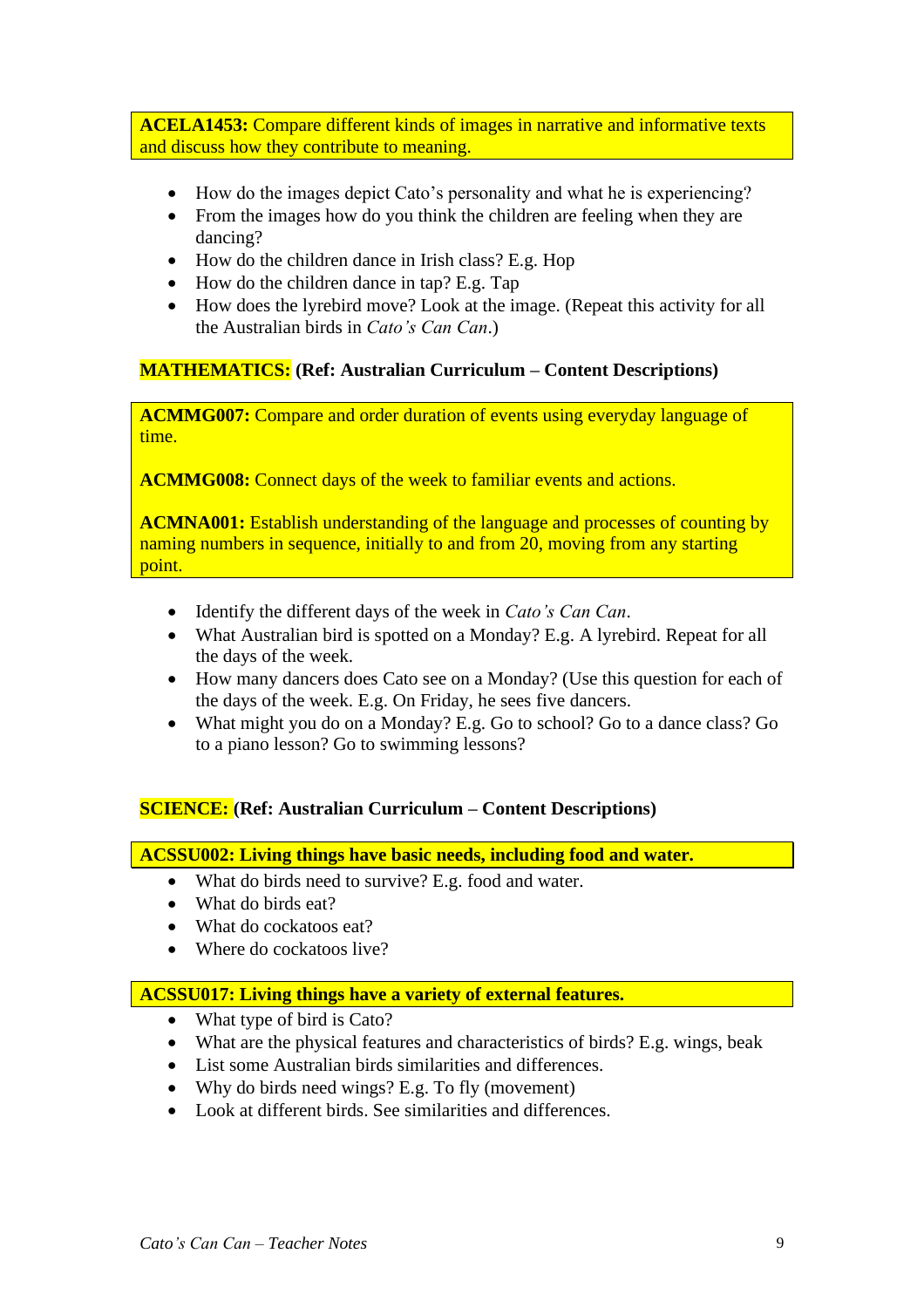**ACELA1453:** Compare different kinds of images in narrative and informative texts and discuss how they contribute to meaning.

- How do the images depict Cato's personality and what he is experiencing?
- From the images how do you think the children are feeling when they are dancing?
- How do the children dance in Irish class? E.g. Hop
- How do the children dance in tap? E.g. Tap
- How does the lyrebird move? Look at the image. (Repeat this activity for all the Australian birds in *Cato's Can Can*.)

#### **MATHEMATICS: (Ref: Australian Curriculum – Content Descriptions)**

**ACMMG007:** Compare and order duration of events using everyday language of time.

**ACMMG008:** Connect days of the week to familiar events and actions.

**ACMNA001:** Establish understanding of the language and processes of counting by naming numbers in sequence, initially to and from 20, moving from any starting point.

- Identify the different days of the week in *Cato's Can Can*.
- What Australian bird is spotted on a Monday? E.g. A lyrebird. Repeat for all the days of the week.
- How many dancers does Cato see on a Monday? (Use this question for each of the days of the week. E.g. On Friday, he sees five dancers.
- What might you do on a Monday? E.g. Go to school? Go to a dance class? Go to a piano lesson? Go to swimming lessons?

## **SCIENCE: (Ref: Australian Curriculum – Content Descriptions)**

**ACSSU002: Living things have basic needs, including food and water.**

- What do birds need to survive? E.g. food and water.
- What do birds eat?
- What do cockatoos eat?
- Where do cockatoos live?

#### **ACSSU017: Living things have a variety of external features.**

- What type of bird is Cato?
- What are the physical features and characteristics of birds? E.g. wings, beak
- List some Australian birds similarities and differences.
- Why do birds need wings? E.g. To fly (movement)
- Look at different birds. See similarities and differences.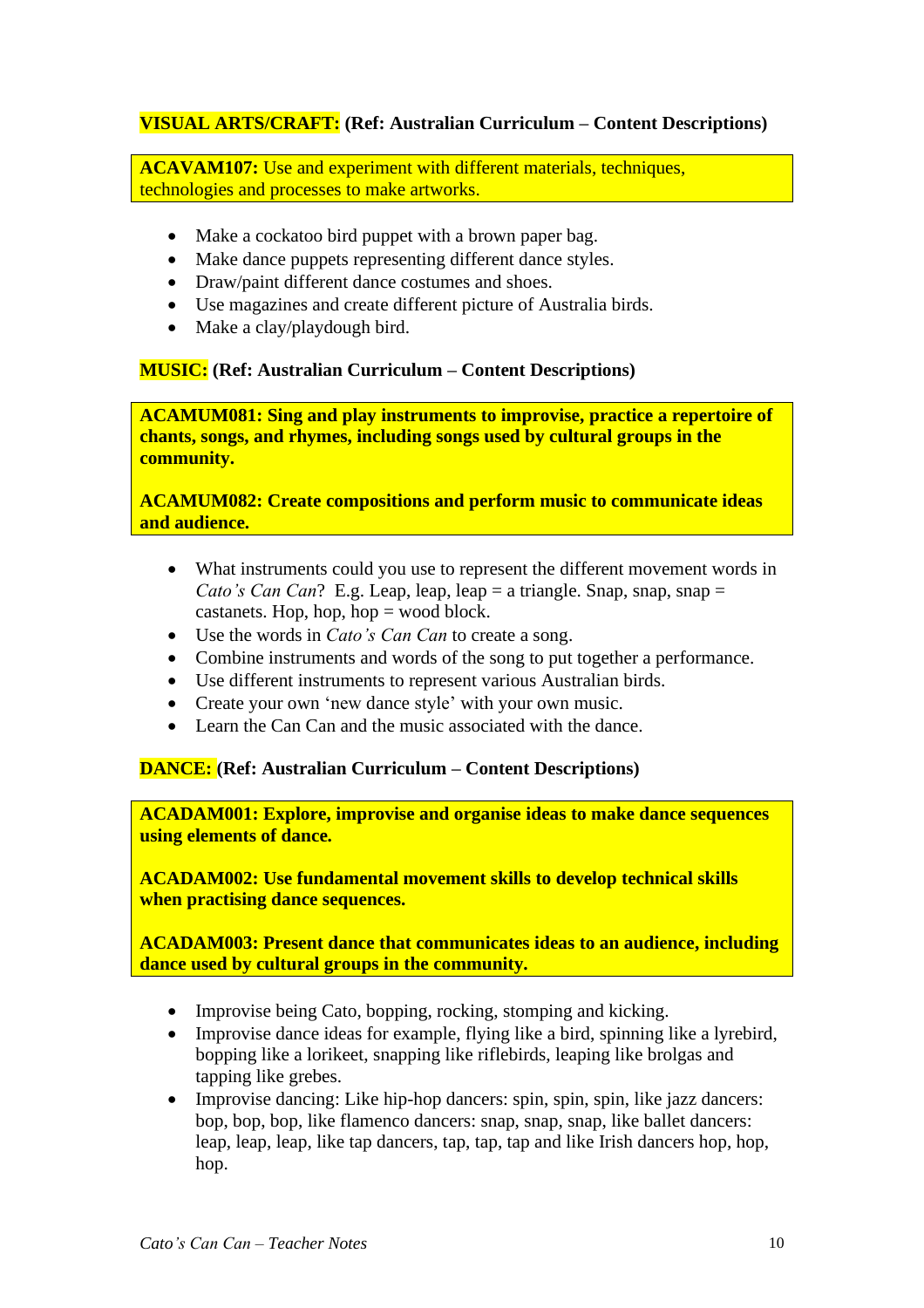# **VISUAL ARTS/CRAFT: (Ref: Australian Curriculum – Content Descriptions)**

**ACAVAM107:** Use and experiment with different materials, techniques, technologies and processes to make artworks.

- Make a cockatoo bird puppet with a brown paper bag.
- Make dance puppets representing different dance styles.
- Draw/paint different dance costumes and shoes.
- Use magazines and create different picture of Australia birds.
- Make a clay/playdough bird.

#### **MUSIC: (Ref: Australian Curriculum – Content Descriptions)**

**ACAMUM081: Sing and play instruments to improvise, practice a repertoire of chants, songs, and rhymes, including songs used by cultural groups in the community.**

**ACAMUM082: Create compositions and perform music to communicate ideas and audience.**

- What instruments could you use to represent the different movement words in *Cato's Can Can*? E.g. Leap, leap, leap = a triangle. Snap, snap, snap = castanets. Hop, hop, hop  $=$  wood block.
- Use the words in *Cato's Can Can* to create a song.
- Combine instruments and words of the song to put together a performance.
- Use different instruments to represent various Australian birds.
- Create your own 'new dance style' with your own music.
- Learn the Can Can and the music associated with the dance.

#### **DANCE: (Ref: Australian Curriculum – Content Descriptions)**

**ACADAM001: Explore, improvise and organise ideas to make dance sequences using elements of dance.**

**ACADAM002: Use fundamental movement skills to develop technical skills when practising dance sequences.** 

**ACADAM003: Present dance that communicates ideas to an audience, including dance used by cultural groups in the community.**

- Improvise being Cato, bopping, rocking, stomping and kicking.
- Improvise dance ideas for example, flying like a bird, spinning like a lyrebird, bopping like a lorikeet, snapping like riflebirds, leaping like brolgas and tapping like grebes.
- Improvise dancing: Like hip-hop dancers: spin, spin, spin, like jazz dancers: bop, bop, bop, like flamenco dancers: snap, snap, snap, like ballet dancers: leap, leap, leap, like tap dancers, tap, tap, tap and like Irish dancers hop, hop, hop.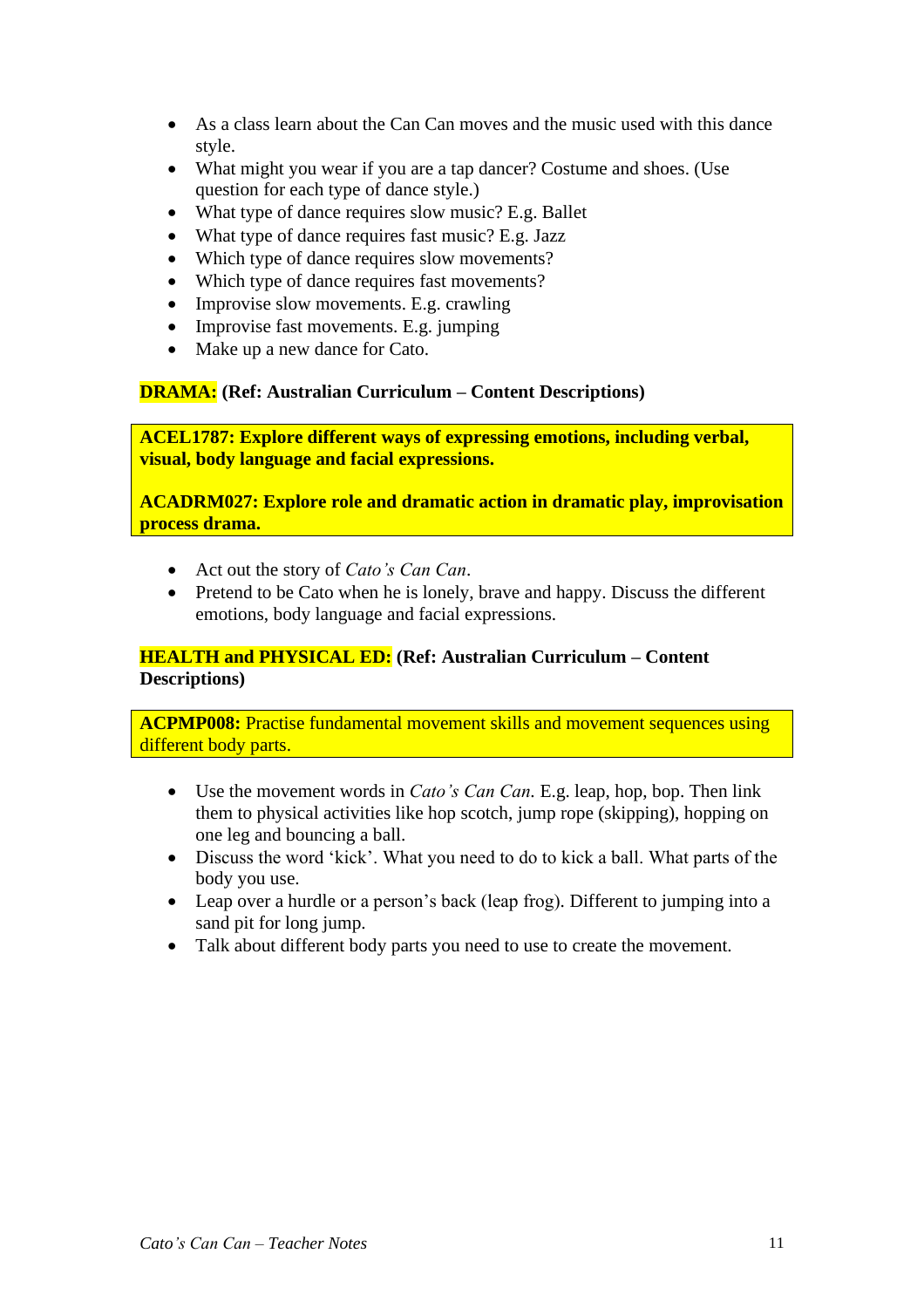- As a class learn about the Can Can moves and the music used with this dance style.
- What might you wear if you are a tap dancer? Costume and shoes. (Use question for each type of dance style.)
- What type of dance requires slow music? E.g. Ballet
- What type of dance requires fast music? E.g. Jazz
- Which type of dance requires slow movements?
- Which type of dance requires fast movements?
- Improvise slow movements. E.g. crawling
- Improvise fast movements. E.g. jumping
- Make up a new dance for Cato.

## **DRAMA: (Ref: Australian Curriculum – Content Descriptions)**

**ACEL1787: Explore different ways of expressing emotions, including verbal, visual, body language and facial expressions.**

**ACADRM027: Explore role and dramatic action in dramatic play, improvisation process drama.**

- Act out the story of *Cato's Can Can*.
- Pretend to be Cato when he is lonely, brave and happy. Discuss the different emotions, body language and facial expressions.

# **HEALTH and PHYSICAL ED: (Ref: Australian Curriculum – Content Descriptions)**

**ACPMP008:** Practise fundamental movement skills and movement sequences using different body parts.

- Use the movement words in *Cato's Can Can.* E.g. leap, hop, bop. Then link them to physical activities like hop scotch, jump rope (skipping), hopping on one leg and bouncing a ball.
- Discuss the word 'kick'. What you need to do to kick a ball. What parts of the body you use.
- Leap over a hurdle or a person's back (leap frog). Different to jumping into a sand pit for long jump.
- Talk about different body parts you need to use to create the movement.